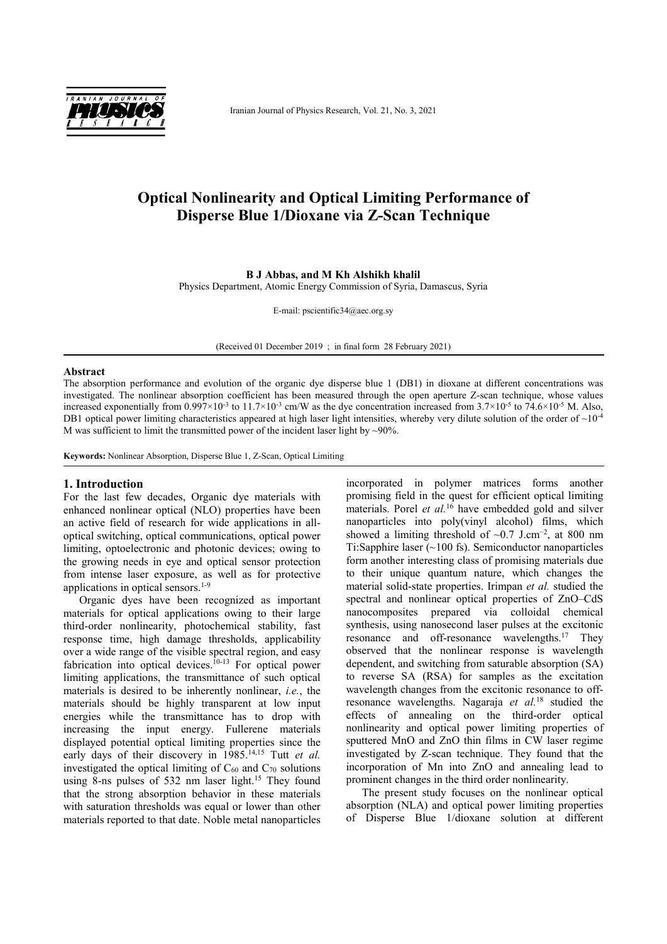

Iranian Journal of Physics Research, Vol. 21, No. 3, 2021

# **Optical Nonlinearity and Optical Limiting Performance of Disperse Blue 1/Dioxane via Z-Scan Technique**

# **B J Abbas, and M Kh Alshikh khalil**

Physics Department, Atomic Energy Commission of Syria, Damascus, Syria

E-mail: pscientific34@aec.org.sy

(Received 01 December 2019 ; in final form 28 February 2021)

#### **Abstract**

The absorption performance and evolution of the organic dye disperse blue 1 (DB1) in dioxane at different concentrations was investigated. The nonlinear absorption coefficient has been measured through the open aperture Z-scan technique, whose values increased exponentially from  $0.997 \times 10^{-3}$  to  $11.7 \times 10^{-3}$  cm/W as the dye concentration increased from  $3.7 \times 10^{-5}$  to  $74.6 \times 10^{-5}$  M. Also, DB1 optical power limiting characteristics appeared at high laser light intensities, whereby very dilute solution of the order of  $\sim 10^{-4}$ M was sufficient to limit the transmitted power of the incident laser light by  $\sim$ 90%.

**Keywords:** Nonlinear Absorption, Disperse Blue 1, Z-Scan, Optical Limiting

## **1. Introduction**

For the last few decades, Organic dye materials with enhanced nonlinear optical (NLO) properties have been an active field of research for wide applications in alloptical switching, optical communications, optical power limiting, optoelectronic and photonic devices; owing to the growing needs in eye and optical sensor protection from intense laser exposure, as well as for protective applications in optical sensors.1-9

Organic dyes have been recognized as important materials for optical applications owing to their large third-order nonlinearity, photochemical stability, fast response time, high damage thresholds, applicability over a wide range of the visible spectral region, and easy fabrication into optical devices.<sup>10-13</sup> For optical power limiting applications, the transmittance of such optical materials is desired to be inherently nonlinear, *i.e.*, the materials should be highly transparent at low input energies while the transmittance has to drop with increasing the input energy. Fullerene materials displayed potential optical limiting properties since the early days of their discovery in 1985.<sup>14,15</sup> Tutt *et al.* investigated the optical limiting of  $C_{60}$  and  $C_{70}$  solutions using 8-ns pulses of 532 nm laser light.<sup>15</sup> They found that the strong absorption behavior in these materials with saturation thresholds was equal or lower than other materials reported to that date. Noble metal nanoparticles

incorporated in polymer matrices forms another promising field in the quest for efficient optical limiting materials. Porel *et al.*<sup>16</sup> have embedded gold and silver nanoparticles into poly(vinyl alcohol) films, which showed a limiting threshold of  $\sim 0.7$  J.cm<sup>-2</sup>, at 800 nm Ti:Sapphire laser (~100 fs). Semiconductor nanoparticles form another interesting class of promising materials due to their unique quantum nature, which changes the material solid-state properties. Irimpan *et al.* studied the spectral and nonlinear optical properties of ZnO–CdS nanocomposites prepared via colloidal chemical synthesis, using nanosecond laser pulses at the excitonic resonance and off-resonance wavelengths.<sup>17</sup> They observed that the nonlinear response is wavelength dependent, and switching from saturable absorption (SA) to reverse SA (RSA) for samples as the excitation wavelength changes from the excitonic resonance to offresonance wavelengths. Nagaraja *et al.*<sup>18</sup> studied the effects of annealing on the third-order optical nonlinearity and optical power limiting properties of sputtered MnO and ZnO thin films in CW laser regime investigated by Z-scan technique. They found that the incorporation of Mn into ZnO and annealing lead to prominent changes in the third order nonlinearity.

The present study focuses on the nonlinear optical absorption (NLA) and optical power limiting properties of Disperse Blue 1/dioxane solution at different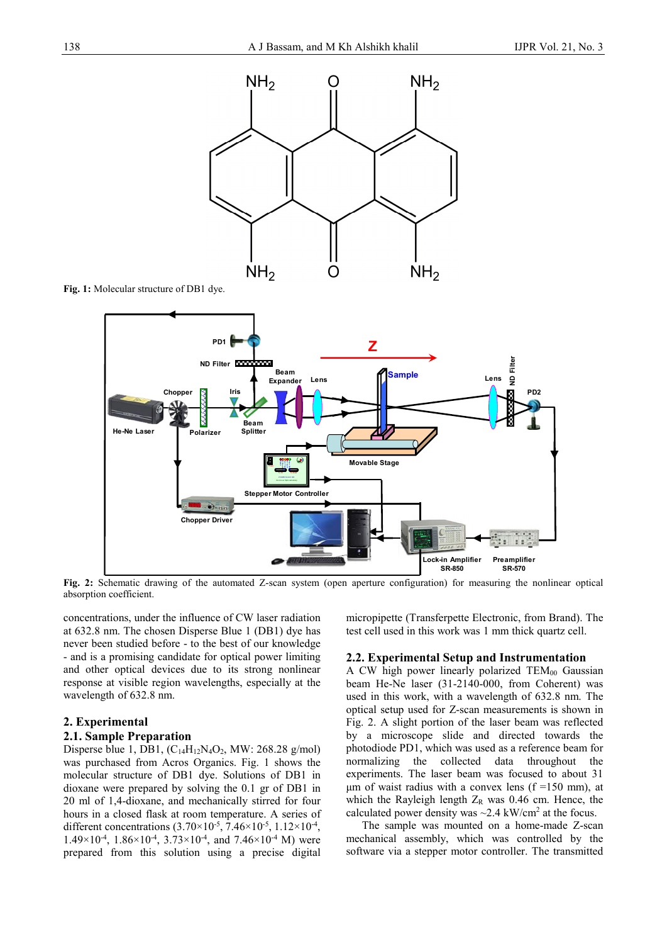

**Fig. 1:** Molecular structure of DB1 dye.



**Fig. 2:** Schematic drawing of the automated Z-scan system (open aperture configuration) for measuring the nonlinear optical absorption coefficient.

concentrations, under the influence of CW laser radiation at 632.8 nm. The chosen Disperse Blue 1 (DB1) dye has never been studied before - to the best of our knowledge - and is a promising candidate for optical power limiting and other optical devices due to its strong nonlinear response at visible region wavelengths, especially at the wavelength of 632.8 nm.

## **2. Experimental**

## **2.1. Sample Preparation**

Disperse blue 1, DB1,  $(C_{14}H_{12}N_4O_2, MW: 268.28$  g/mol) was purchased from Acros Organics. Fig. 1 shows the molecular structure of DB1 dye. Solutions of DB1 in dioxane were prepared by solving the 0.1 gr of DB1 in 20 ml of 1,4-dioxane, and mechanically stirred for four hours in a closed flask at room temperature. A series of different concentrations  $(3.70 \times 10^{-5}, 7.46 \times 10^{-5}, 1.12 \times 10^{-4},$  $1.49\times10^{-4}$ ,  $1.86\times10^{-4}$ ,  $3.73\times10^{-4}$ , and  $7.46\times10^{-4}$  M) were prepared from this solution using a precise digital

micropipette (Transferpette Electronic, from Brand). The test cell used in this work was 1 mm thick quartz cell.

# **2.2. Experimental Setup and Instrumentation**

A CW high power linearly polarized  $TEM_{00}$  Gaussian beam He-Ne laser (31-2140-000, from Coherent) was used in this work, with a wavelength of 632.8 nm. The optical setup used for Z-scan measurements is shown in Fig. 2. A slight portion of the laser beam was reflected by a microscope slide and directed towards the photodiode PD1, which was used as a reference beam for normalizing the collected data throughout the experiments. The laser beam was focused to about 31 μm of waist radius with a convex lens ( $f = 150$  mm), at which the Rayleigh length  $Z_R$  was 0.46 cm. Hence, the calculated power density was  $\sim$  2.4 kW/cm<sup>2</sup> at the focus.

The sample was mounted on a home-made Z-scan mechanical assembly, which was controlled by the software via a stepper motor controller. The transmitted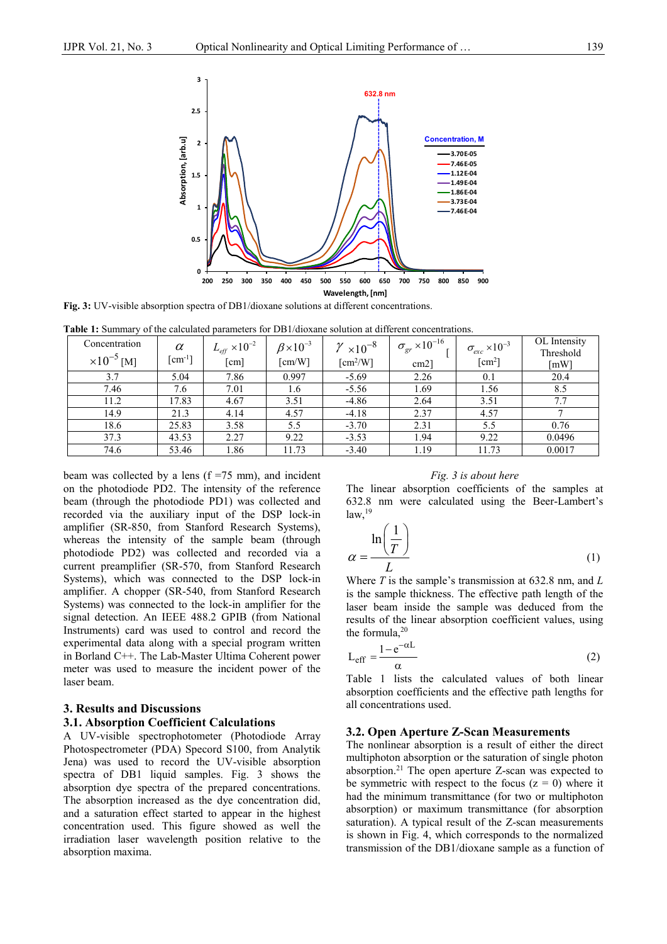

**Fig. 3:** UV-visible absorption spectra of DB1/dioxane solutions at different concentrations.

|  |  | <b>Table 1:</b> Summary of the calculated parameters for DB1/dioxane solution at different concentrations. |  |  |  |  |  |
|--|--|------------------------------------------------------------------------------------------------------------|--|--|--|--|--|
|--|--|------------------------------------------------------------------------------------------------------------|--|--|--|--|--|

| Concentration<br>$\times 10^{-5}$ [M] | $\alpha$<br>$\lceil$ cm <sup>-1</sup> $\rceil$ | $L_{\text{eff}} \times 10^{-2}$<br>[cm] | $\beta \times 10^{-3}$<br>$\lceil$ cm/W $\rceil$ | $\gamma \times 10^{-8}$<br>$\lceil$ cm <sup>2</sup> /W] | $\sigma_{gr} \times 10^{-16}$ .<br>$cm2$ ] | $\sigma_{exc} \times 10^{-3}$<br>$\lceil$ cm <sup>2</sup> $\rceil$ | OL Intensity<br>Threshold<br>$\lceil mW \rceil$ |
|---------------------------------------|------------------------------------------------|-----------------------------------------|--------------------------------------------------|---------------------------------------------------------|--------------------------------------------|--------------------------------------------------------------------|-------------------------------------------------|
| 3.7                                   | 5.04                                           | 7.86                                    | 0.997                                            | $-5.69$                                                 | 2.26                                       | 0.1                                                                | 20.4                                            |
| 7.46                                  | 7.6                                            | 7.01                                    | 1.6                                              | $-5.56$                                                 | 1.69                                       | 1.56                                                               | 8.5                                             |
| 11.2                                  | 17.83                                          | 4.67                                    | 3.51                                             | $-4.86$                                                 | 2.64                                       | 3.51                                                               | 7.7                                             |
| 14.9                                  | 21.3                                           | 4.14                                    | 4.57                                             | $-4.18$                                                 | 2.37                                       | 4.57                                                               |                                                 |
| 18.6                                  | 25.83                                          | 3.58                                    | 5.5                                              | $-3.70$                                                 | 2.31                                       | 5.5                                                                | 0.76                                            |
| 37.3                                  | 43.53                                          | 2.27                                    | 9.22                                             | $-3.53$                                                 | 1.94                                       | 9.22                                                               | 0.0496                                          |
| 74.6                                  | 53.46                                          | 1.86                                    | 11.73                                            | $-3.40$                                                 | 1.19                                       | 11.73                                                              | 0.0017                                          |

beam was collected by a lens  $(f = 75$  mm), and incident on the photodiode PD2. The intensity of the reference beam (through the photodiode PD1) was collected and recorded via the auxiliary input of the DSP lock-in amplifier (SR-850, from Stanford Research Systems), whereas the intensity of the sample beam (through photodiode PD2) was collected and recorded via a current preamplifier (SR-570, from Stanford Research Systems), which was connected to the DSP lock-in amplifier. A chopper (SR-540, from Stanford Research Systems) was connected to the lock-in amplifier for the signal detection. An IEEE 488.2 GPIB (from National Instruments) card was used to control and record the experimental data along with a special program written in Borland C++. The Lab-Master Ultima Coherent power meter was used to measure the incident power of the laser beam.

# **3. Results and Discussions**

#### **3.1. Absorption Coefficient Calculations**

A UV-visible spectrophotometer (Photodiode Array Photospectrometer (PDA) Specord S100, from Analytik Jena) was used to record the UV-visible absorption spectra of DB1 liquid samples. Fig. 3 shows the absorption dye spectra of the prepared concentrations. The absorption increased as the dye concentration did, and a saturation effect started to appear in the highest concentration used. This figure showed as well the irradiation laser wavelength position relative to the absorption maxima.

#### *Fig. 3 is about here*

The linear absorption coefficients of the samples at 632.8 nm were calculated using the Beer-Lambert's  $law.<sup>19</sup>$ 

$$
\alpha = \frac{\ln\left(\frac{1}{T}\right)}{L} \tag{1}
$$

Where *T* is the sample's transmission at 632.8 nm, and *L* is the sample thickness. The effective path length of the laser beam inside the sample was deduced from the results of the linear absorption coefficient values, using the formula, $20$ 

$$
L_{eff} = \frac{1 - e^{-\alpha L}}{\alpha} \tag{2}
$$

Table 1 lists the calculated values of both linear absorption coefficients and the effective path lengths for all concentrations used.

#### **3.2. Open Aperture Z-Scan Measurements**

The nonlinear absorption is a result of either the direct multiphoton absorption or the saturation of single photon absorption.<sup>21</sup> The open aperture Z-scan was expected to be symmetric with respect to the focus  $(z = 0)$  where it had the minimum transmittance (for two or multiphoton absorption) or maximum transmittance (for absorption saturation). A typical result of the Z-scan measurements is shown in Fig. 4, which corresponds to the normalized transmission of the DB1/dioxane sample as a function of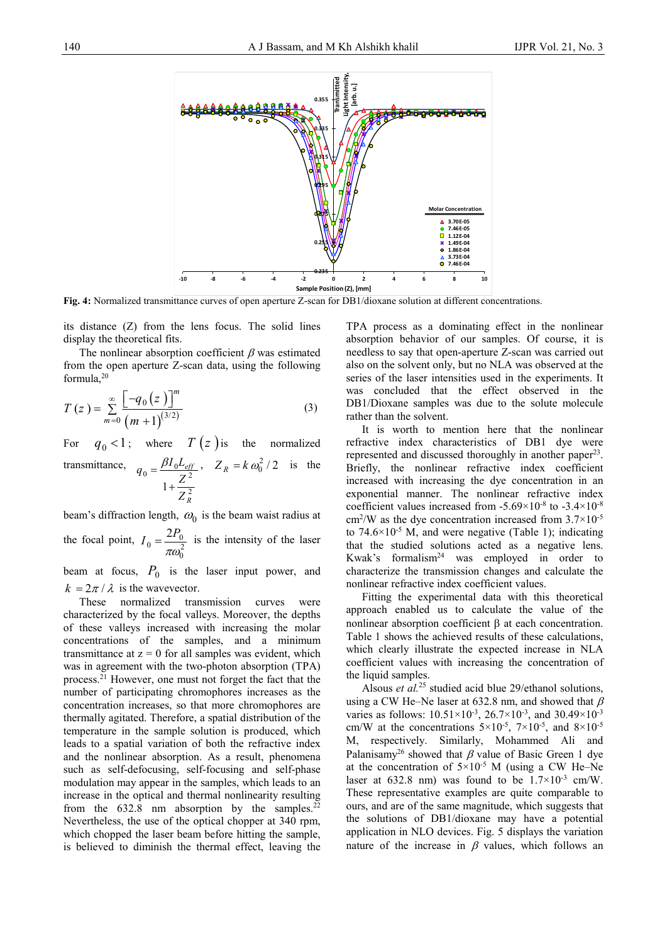

**Fig. 4:** Normalized transmittance curves of open aperture Z-scan for DB1/dioxane solution at different concentrations.

its distance (Z) from the lens focus. The solid lines display the theoretical fits.

The nonlinear absorption coefficient  $\beta$  was estimated from the open aperture Z-scan data, using the following formula,20

$$
T(z) = \sum_{m=0}^{\infty} \frac{\left[ -q_0(z) \right]^m}{\left( m + 1 \right)^{(3/2)}} \tag{3}
$$

For  $q_0 < 1$ ; where  $T(z)$  is the normalized transmittance,  $q_0 = \frac{\beta I_0 L_{eff}}{Z^2}$  $1 + \frac{2}{7^2}$ *eff R*  $q_0 = \frac{\beta I_0 L}{Z}$ *Z*  $=\frac{\beta}{\beta}$  $^{+}$ ,  $Z_R = k \omega_0^2 / 2$  is the

beam's diffraction length,  $\omega_0$  is the beam waist radius at the focal point,  $I_0 = \frac{2I_0}{\pi \omega_0^2}$  $I_0 = \frac{2P_0}{\pi \omega_0^2}$  is the intensity of the laser

beam at focus,  $P_0$  is the laser input power, and  $k = 2\pi / \lambda$  is the wavevector.

These normalized transmission curves were characterized by the focal valleys. Moreover, the depths of these valleys increased with increasing the molar concentrations of the samples, and a minimum transmittance at  $z = 0$  for all samples was evident, which was in agreement with the two-photon absorption (TPA) process.21 However, one must not forget the fact that the number of participating chromophores increases as the concentration increases, so that more chromophores are thermally agitated. Therefore, a spatial distribution of the temperature in the sample solution is produced, which leads to a spatial variation of both the refractive index and the nonlinear absorption. As a result, phenomena such as self-defocusing, self-focusing and self-phase modulation may appear in the samples, which leads to an increase in the optical and thermal nonlinearity resulting from the  $632.8$  nm absorption by the samples.<sup>22</sup> Nevertheless, the use of the optical chopper at 340 rpm, which chopped the laser beam before hitting the sample, is believed to diminish the thermal effect, leaving the

TPA process as a dominating effect in the nonlinear absorption behavior of our samples. Of course, it is needless to say that open-aperture Z-scan was carried out also on the solvent only, but no NLA was observed at the series of the laser intensities used in the experiments. It was concluded that the effect observed in the DB1/Dioxane samples was due to the solute molecule rather than the solvent.

It is worth to mention here that the nonlinear refractive index characteristics of DB1 dye were represented and discussed thoroughly in another paper<sup>23</sup>. Briefly, the nonlinear refractive index coefficient increased with increasing the dye concentration in an exponential manner. The nonlinear refractive index coefficient values increased from  $-5.69\times10^{-8}$  to  $-3.4\times10^{-8}$  $\text{cm}^2/\text{W}$  as the dye concentration increased from 3.7×10<sup>-5</sup> to  $74.6 \times 10^{-5}$  M, and were negative (Table 1); indicating that the studied solutions acted as a negative lens. Kwak's formalism24 was employed in order to characterize the transmission changes and calculate the nonlinear refractive index coefficient values.

Fitting the experimental data with this theoretical approach enabled us to calculate the value of the nonlinear absorption coefficient  $\beta$  at each concentration. Table 1 shows the achieved results of these calculations, which clearly illustrate the expected increase in NLA coefficient values with increasing the concentration of the liquid samples.

Alsous *et al.*<sup>25</sup> studied acid blue 29/ethanol solutions, using a CW He–Ne laser at 632.8 nm, and showed that  $\beta$ varies as follows:  $10.51 \times 10^{-3}$ ,  $26.7 \times 10^{-3}$ , and  $30.49 \times 10^{-3}$ cm/W at the concentrations  $5 \times 10^{-5}$ ,  $7 \times 10^{-5}$ , and  $8 \times 10^{-5}$ M, respectively. Similarly, Mohammed Ali and Palanisamy<sup>26</sup> showed that  $\beta$  value of Basic Green 1 dye at the concentration of  $5\times10^{-5}$  M (using a CW He–Ne laser at 632.8 nm) was found to be  $1.7 \times 10^{-3}$  cm/W. These representative examples are quite comparable to ours, and are of the same magnitude, which suggests that the solutions of DB1/dioxane may have a potential application in NLO devices. Fig. 5 displays the variation nature of the increase in  $\beta$  values, which follows an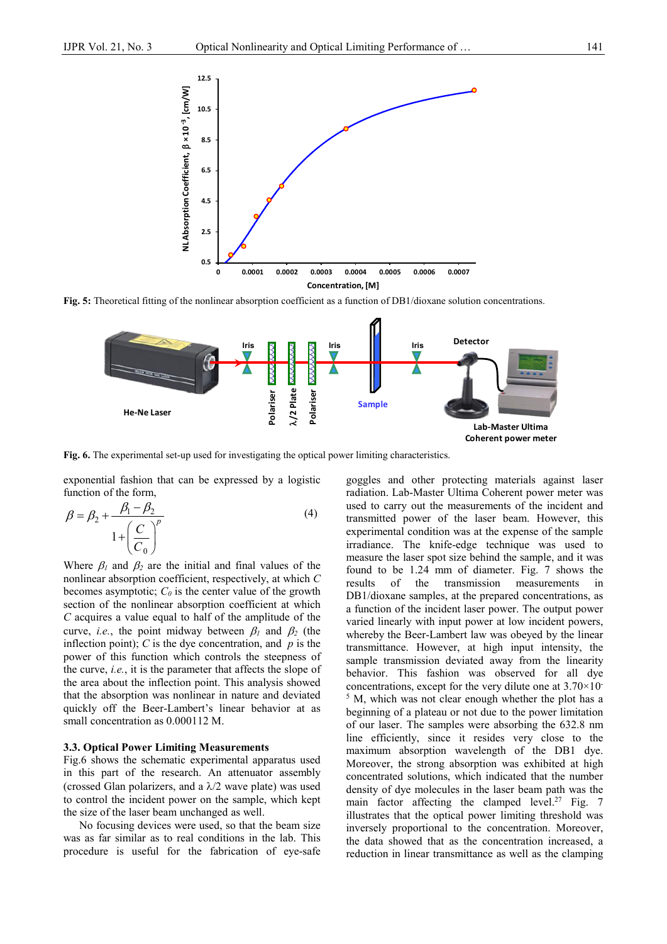

**Fig. 5:** Theoretical fitting of the nonlinear absorption coefficient as a function of DB1/dioxane solution concentrations.



**Fig. 6.** The experimental set-up used for investigating the optical power limiting characteristics.

exponential fashion that can be expressed by a logistic function of the form,

$$
\beta = \beta_2 + \frac{\beta_1 - \beta_2}{1 + \left(\frac{C}{C_0}\right)^p}
$$
\n(4)

Where  $\beta_1$  and  $\beta_2$  are the initial and final values of the nonlinear absorption coefficient, respectively, at which *C* becomes asymptotic;  $C_0$  is the center value of the growth section of the nonlinear absorption coefficient at which *C* acquires a value equal to half of the amplitude of the curve, *i.e.*, the point midway between  $\beta_1$  and  $\beta_2$  (the inflection point);  $C$  is the dye concentration, and  $p$  is the power of this function which controls the steepness of the curve, *i.e.*, it is the parameter that affects the slope of the area about the inflection point. This analysis showed that the absorption was nonlinear in nature and deviated quickly off the Beer-Lambert's linear behavior at as small concentration as 0.000112 M.

#### **3.3. Optical Power Limiting Measurements**

Fig.6 shows the schematic experimental apparatus used in this part of the research. An attenuator assembly (crossed Glan polarizers, and a  $\lambda/2$  wave plate) was used to control the incident power on the sample, which kept the size of the laser beam unchanged as well.

No focusing devices were used, so that the beam size was as far similar as to real conditions in the lab. This procedure is useful for the fabrication of eye-safe

goggles and other protecting materials against laser radiation. Lab-Master Ultima Coherent power meter was used to carry out the measurements of the incident and transmitted power of the laser beam. However, this experimental condition was at the expense of the sample irradiance. The knife-edge technique was used to measure the laser spot size behind the sample, and it was found to be 1.24 mm of diameter. Fig. 7 shows the results of the transmission measurements in DB1/dioxane samples, at the prepared concentrations, as a function of the incident laser power. The output power varied linearly with input power at low incident powers, whereby the Beer-Lambert law was obeyed by the linear transmittance. However, at high input intensity, the sample transmission deviated away from the linearity behavior. This fashion was observed for all dye concentrations, except for the very dilute one at  $3.70\times10^{-7}$ <sup>5</sup> M, which was not clear enough whether the plot has a beginning of a plateau or not due to the power limitation of our laser. The samples were absorbing the 632.8 nm line efficiently, since it resides very close to the maximum absorption wavelength of the DB1 dye. Moreover, the strong absorption was exhibited at high concentrated solutions, which indicated that the number density of dye molecules in the laser beam path was the main factor affecting the clamped level.<sup>27</sup> Fig.  $7$ illustrates that the optical power limiting threshold was inversely proportional to the concentration. Moreover, the data showed that as the concentration increased, a reduction in linear transmittance as well as the clamping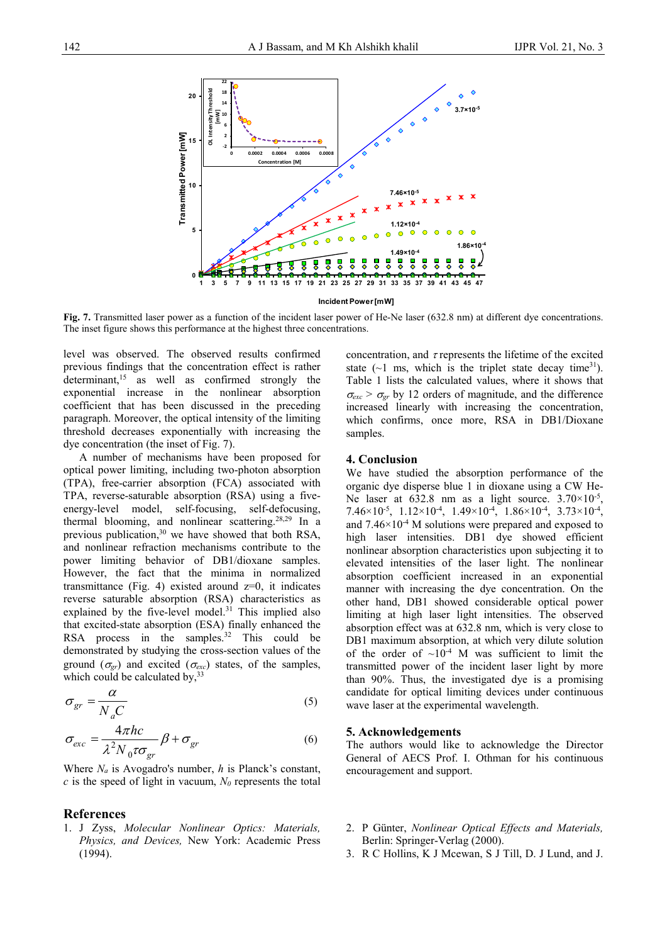

**Fig. 7.** Transmitted laser power as a function of the incident laser power of He-Ne laser (632.8 nm) at different dye concentrations. The inset figure shows this performance at the highest three concentrations.

level was observed. The observed results confirmed previous findings that the concentration effect is rather determinant,<sup>15</sup> as well as confirmed strongly the exponential increase in the nonlinear absorption coefficient that has been discussed in the preceding paragraph. Moreover, the optical intensity of the limiting threshold decreases exponentially with increasing the dye concentration (the inset of Fig. 7).

A number of mechanisms have been proposed for optical power limiting, including two-photon absorption (TPA), free-carrier absorption (FCA) associated with TPA, reverse-saturable absorption (RSA) using a fiveenergy-level model, self-focusing, self-defocusing, thermal blooming, and nonlinear scattering.28,29 In a previous publication, $30$  we have showed that both RSA, and nonlinear refraction mechanisms contribute to the power limiting behavior of DB1/dioxane samples. However, the fact that the minima in normalized transmittance (Fig. 4) existed around  $z=0$ , it indicates reverse saturable absorption (RSA) characteristics as explained by the five-level model. $31$  This implied also that excited-state absorption (ESA) finally enhanced the RSA process in the samples.<sup>32</sup> This could be demonstrated by studying the cross-section values of the ground  $(\sigma_{gr})$  and excited  $(\sigma_{exc})$  states, of the samples, which could be calculated by,  $33$ 

$$
\sigma_{gr} = \frac{\alpha}{N_a C} \tag{5}
$$

$$
\sigma_{exc} = \frac{4\pi hc}{\lambda^2 N_0 \tau \sigma_{gr}} \beta + \sigma_{gr} \tag{6}
$$

Where *Na* is Avogadro's number, *h* is Planck's constant,  $c$  is the speed of light in vacuum,  $N_0$  represents the total

## **References**

1. J Zyss, *Molecular Nonlinear Optics: Materials, Physics, and Devices,* New York: Academic Press (1994).

concentration, and  $\tau$  represents the lifetime of the excited state  $(-1 \text{ ms}, \text{ which is the triplet state decay time}^{31})$ . Table 1 lists the calculated values, where it shows that  $\sigma_{exc} > \sigma_{gr}$  by 12 orders of magnitude, and the difference increased linearly with increasing the concentration, which confirms, once more, RSA in DB1/Dioxane samples.

# **4. Conclusion**

We have studied the absorption performance of the organic dye disperse blue 1 in dioxane using a CW He-Ne laser at  $632.8$  nm as a light source.  $3.70 \times 10^{-5}$ , 7.46×10<sup>-5</sup>, 1.12×10<sup>-4</sup>, 1.49×10<sup>-4</sup>, 1.86×10<sup>-4</sup>, 3.73×10<sup>-4</sup>, and  $7.46\times10^{-4}$  M solutions were prepared and exposed to high laser intensities. DB1 dye showed efficient nonlinear absorption characteristics upon subjecting it to elevated intensities of the laser light. The nonlinear absorption coefficient increased in an exponential manner with increasing the dye concentration. On the other hand, DB1 showed considerable optical power limiting at high laser light intensities. The observed absorption effect was at 632.8 nm, which is very close to DB1 maximum absorption, at which very dilute solution of the order of  $\sim 10^{-4}$  M was sufficient to limit the transmitted power of the incident laser light by more than 90%. Thus, the investigated dye is a promising candidate for optical limiting devices under continuous wave laser at the experimental wavelength.

### **5. Acknowledgements**

The authors would like to acknowledge the Director General of AECS Prof. I. Othman for his continuous encouragement and support.

- 2. P Günter, *Nonlinear Optical Effects and Materials,* Berlin: Springer-Verlag (2000).
- 3. R C Hollins, K J Mcewan, S J Till, D. J Lund, and J.